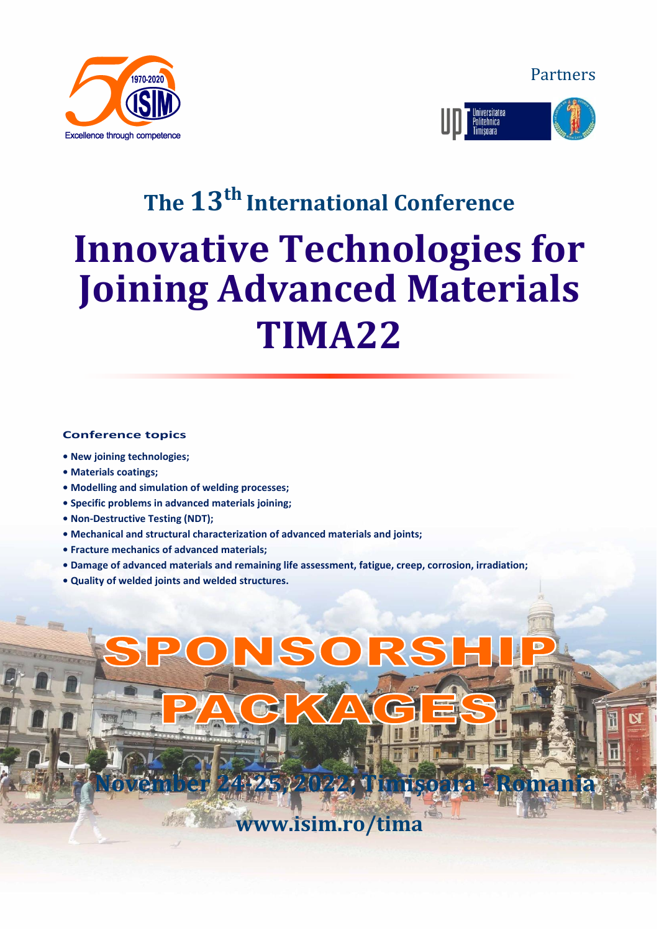Partners





# **The 13 th International Conference Innovative Technologies for Joining Advanced Materials TIMA22**

#### **Conference topics**

- **• New joining technologies;**
- **• Materials coatings;**
- **• Modelling and simulation of welding processes;**
- **• Specific problems in advanced materials joining;**
- **• Non-Destructive Testing (NDT);**
- **• Mechanical and structural characterization of advanced materials and joints;**
- **• Fracture mechanics of advanced materials;**
- **• Damage of advanced materials and remaining life assessment, fatigue, creep, corrosion, irradiation;**
- **• Quality of welded joints and welded structures.**

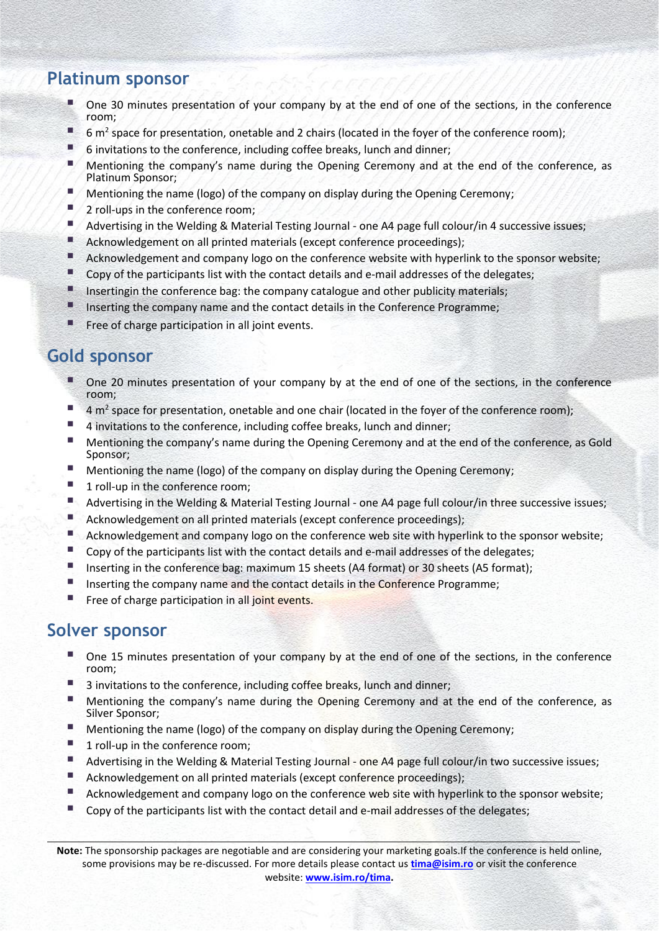### **Platinum sponsor**

- One 30 minutes presentation of your company by at the end of one of the sections, in the conference room;
- 6 m<sup>2</sup> space for presentation, onetable and 2 chairs (located in the foyer of the conference room);
- 6 invitations to the conference, including coffee breaks, lunch and dinner;
- Mentioning the company's name during the Opening Ceremony and at the end of the conference, as Platinum Sponsor;
- Mentioning the name (logo) of the company on display during the Opening Ceremony;
- 2 roll-ups in the conference room;
- Advertising in the Welding & Material Testing Journal one A4 page full colour/in 4 successive issues;
- Acknowledgement on all printed materials (except conference proceedings);
- Acknowledgement and company logo on the conference website with hyperlink to the sponsor website;
- Copy of the participants list with the contact details and e-mail addresses of the delegates;
- **E** Insertingin the conference bag: the company catalogue and other publicity materials;
- **■** Inserting the company name and the contact details in the Conference Programme;
- Free of charge participation in all joint events.

### **Gold sponsor**

- One 20 minutes presentation of your company by at the end of one of the sections, in the conference room;
- 4 m<sup>2</sup> space for presentation, onetable and one chair (located in the foyer of the conference room);
- 4 invitations to the conference, including coffee breaks, lunch and dinner;
- Mentioning the company's name during the Opening Ceremony and at the end of the conference, as Gold Sponsor;
- Mentioning the name (logo) of the company on display during the Opening Ceremony;
- 1 roll-up in the conference room;
- Advertising in the Welding & Material Testing Journal one A4 page full colour/in three successive issues;
- Acknowledgement on all printed materials (except conference proceedings);
- Acknowledgement and company logo on the conference web site with hyperlink to the sponsor website;
- Copy of the participants list with the contact details and e-mail addresses of the delegates;
- Inserting in the conference bag: maximum 15 sheets (A4 format) or 30 sheets (A5 format);
- **E** Inserting the company name and the contact details in the Conference Programme;
- Free of charge participation in all joint events.

#### **Solver sponsor**

- One 15 minutes presentation of your company by at the end of one of the sections, in the conference room;
- 3 invitations to the conference, including coffee breaks, lunch and dinner;
- Mentioning the company's name during the Opening Ceremony and at the end of the conference, as Silver Sponsor;
- Mentioning the name (logo) of the company on display during the Opening Ceremony;
- 1 roll-up in the conference room;
- Advertising in the Welding & Material Testing Journal one A4 page full colour/in two successive issues;
- Acknowledgement on all printed materials (except conference proceedings);
- Acknowledgement and company logo on the conference web site with hyperlink to the sponsor website;
- $\blacksquare$  Copy of the participants list with the contact detail and e-mail addresses of the delegates;

**Note:** The sponsorship packages are negotiable and are considering your marketing goals.If the conference is held online, some provisions may be re-discussed. For more details please contact us **[tima@isim.ro](mailto:tima@isim.ro?subject=tima%2018_sponsor)** or visit the conference website: **[www.isim.ro/tima.](file:///F:/tima19/sponsori/www.isim.ro/tima)**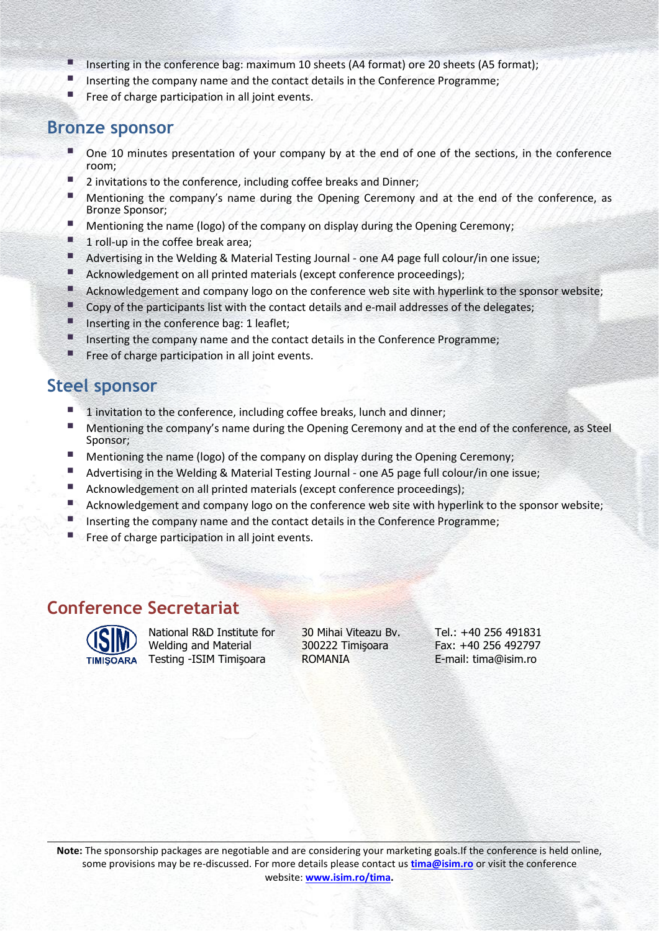- Inserting in the conference bag: maximum 10 sheets (A4 format) ore 20 sheets (A5 format);<br>■ Inserting the company name and the contact details in the Conference Programme:
- Inserting the company name and the contact details in the Conference Programme;
- **■** Free of charge participation in all joint events.

#### **Bronze sponsor**

- One 10 minutes presentation of your company by at the end of one of the sections, in the conference room;
- 2 invitations to the conference, including coffee breaks and Dinner;
- **■** Mentioning the company's name during the Opening Ceremony and at the end of the conference, as Bronze Sponsor;
- Mentioning the name (logo) of the company on display during the Opening Ceremony;
- 1 roll-up in the coffee break area;
- Advertising in the Welding & Material Testing Journal one A4 page full colour/in one issue;
- Acknowledgement on all printed materials (except conference proceedings);
- Acknowledgement and company logo on the conference web site with hyperlink to the sponsor website;
- Copy of the participants list with the contact details and e-mail addresses of the delegates;
- Inserting in the conference bag: 1 leaflet;
- **■** Inserting the company name and the contact details in the Conference Programme;
- **Free of charge participation in all joint events.**

#### **Steel sponsor**

- 1 invitation to the conference, including coffee breaks, lunch and dinner;
- Mentioning the company's name during the Opening Ceremony and at the end of the conference, as Steel Sponsor;
- **E** Mentioning the name (logo) of the company on display during the Opening Ceremony;<br>**E.** Advertising in the Welding & Material Testing Journal one A5 page full colour/in one is
- Advertising in the Welding & Material Testing Journal one A5 page full colour/in one issue;
- Acknowledgement on all printed materials (except conference proceedings);<br>■ Acknowledgement and company logo on the conference web site with hyper
- Acknowledgement and company logo on the conference web site with hyperlink to the sponsor website;
- Inserting the company name and the contact details in the Conference Programme;
- Free of charge participation in all joint events.

#### **Conference Secretariat**



National R&D Institute for Welding and Material Testing -ISIM Timişoara

30 Mihai Viteazu Bv. 300222 Timişoara ROMANIA

Tel.: +40 256 491831 Fax: +40 256 492797 E-mail: tima@isim.ro

**Note:** The sponsorship packages are negotiable and are considering your marketing goals.If the conference is held online, some provisions may be re-discussed. For more details please contact us **[tima@isim.ro](mailto:tima@isim.ro?subject=tima%2018_sponsor)** or visit the conference website: **[www.isim.ro/tima.](file:///F:/tima19/sponsori/www.isim.ro/tima)**